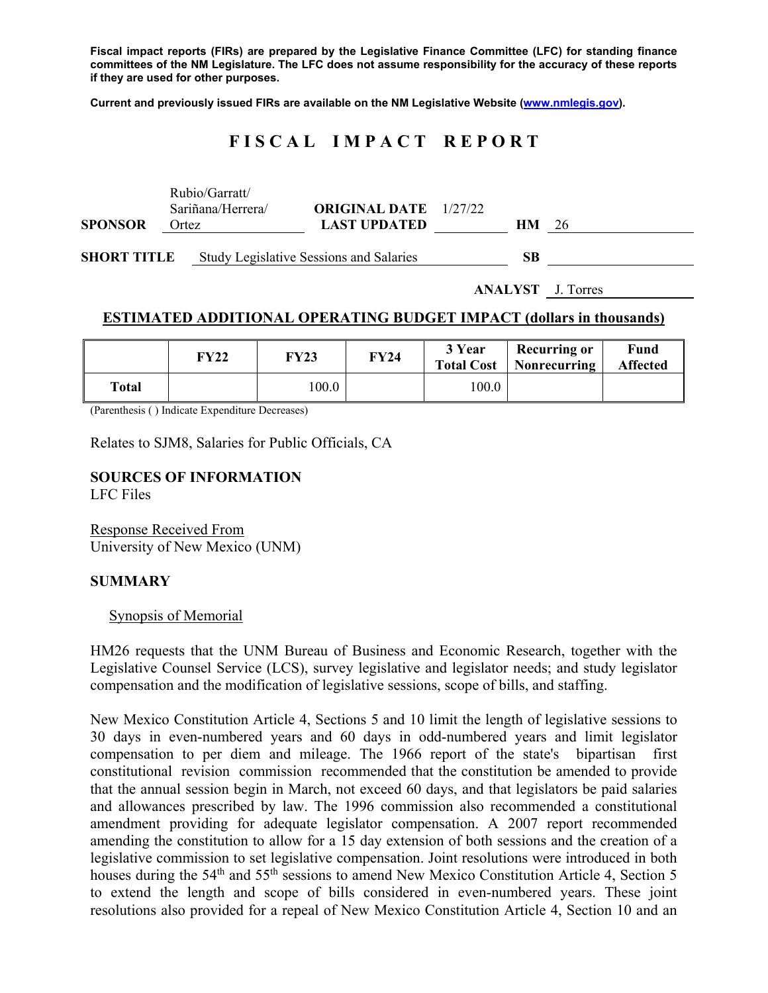**Fiscal impact reports (FIRs) are prepared by the Legislative Finance Committee (LFC) for standing finance committees of the NM Legislature. The LFC does not assume responsibility for the accuracy of these reports if they are used for other purposes.** 

**Current and previously issued FIRs are available on the NM Legislative Website (www.nmlegis.gov).** 

# **F I S C A L I M P A C T R E P O R T**

|                    | Rubio/Garratt/<br>Sariñana/Herrera/ | <b>ORIGINAL DATE</b> 1/27/22                   |    |                          |
|--------------------|-------------------------------------|------------------------------------------------|----|--------------------------|
| <b>SPONSOR</b>     | Ortez                               | <b>LAST UPDATED</b>                            | HM | 26                       |
| <b>SHORT TITLE</b> |                                     | <b>Study Legislative Sessions and Salaries</b> | SB |                          |
|                    |                                     |                                                |    | <b>ANALYST</b> J. Torres |

## **ESTIMATED ADDITIONAL OPERATING BUDGET IMPACT (dollars in thousands)**

|              | FY22 | <b>FY23</b> | <b>FY24</b> | 3 Year<br><b>Total Cost</b> | Recurring or<br>Nonrecurring | Fund<br><b>Affected</b> |
|--------------|------|-------------|-------------|-----------------------------|------------------------------|-------------------------|
| <b>Total</b> |      | 100.0       |             | 100.0                       |                              |                         |

(Parenthesis ( ) Indicate Expenditure Decreases)

Relates to SJM8, Salaries for Public Officials, CA

# **SOURCES OF INFORMATION**

LFC Files

Response Received From University of New Mexico (UNM)

#### **SUMMARY**

#### Synopsis of Memorial

HM26 requests that the UNM Bureau of Business and Economic Research, together with the Legislative Counsel Service (LCS), survey legislative and legislator needs; and study legislator compensation and the modification of legislative sessions, scope of bills, and staffing.

New Mexico Constitution Article 4, Sections 5 and 10 limit the length of legislative sessions to 30 days in even-numbered years and 60 days in odd-numbered years and limit legislator compensation to per diem and mileage. The 1966 report of the state's bipartisan first constitutional revision commission recommended that the constitution be amended to provide that the annual session begin in March, not exceed 60 days, and that legislators be paid salaries and allowances prescribed by law. The 1996 commission also recommended a constitutional amendment providing for adequate legislator compensation. A 2007 report recommended amending the constitution to allow for a 15 day extension of both sessions and the creation of a legislative commission to set legislative compensation. Joint resolutions were introduced in both houses during the 54<sup>th</sup> and 55<sup>th</sup> sessions to amend New Mexico Constitution Article 4, Section 5 to extend the length and scope of bills considered in even-numbered years. These joint resolutions also provided for a repeal of New Mexico Constitution Article 4, Section 10 and an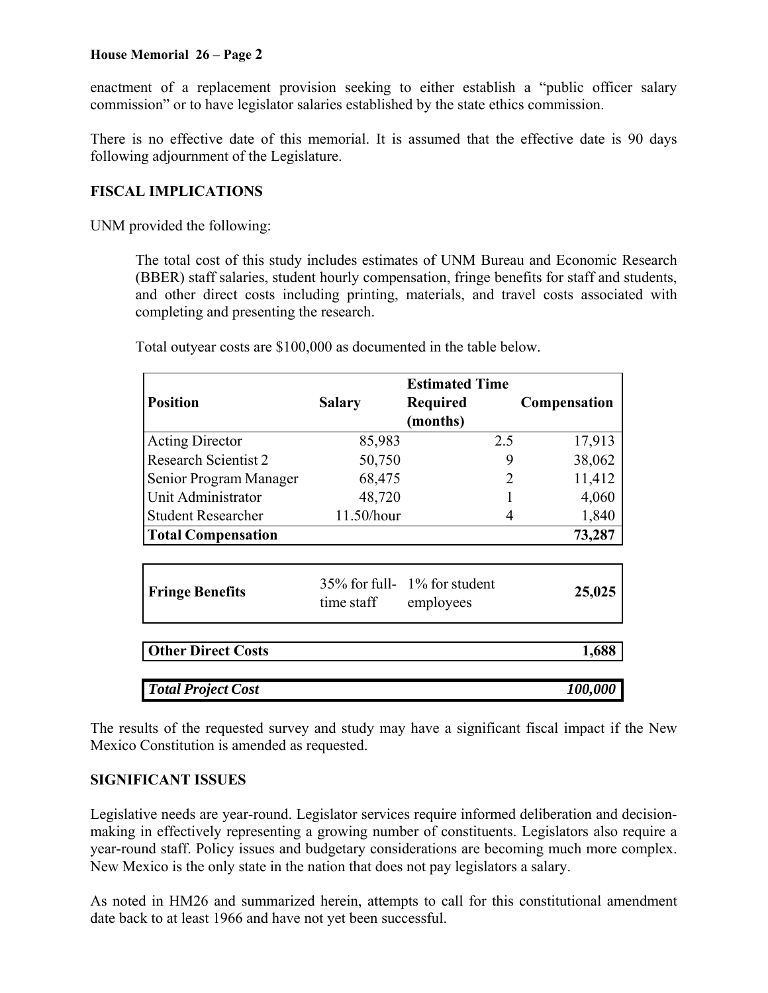# **House Memorial 26 – Page 2**

enactment of a replacement provision seeking to either establish a "public officer salary commission" or to have legislator salaries established by the state ethics commission.

There is no effective date of this memorial. It is assumed that the effective date is 90 days following adjournment of the Legislature.

# **FISCAL IMPLICATIONS**

UNM provided the following:

The total cost of this study includes estimates of UNM Bureau and Economic Research (BBER) staff salaries, student hourly compensation, fringe benefits for staff and students, and other direct costs including printing, materials, and travel costs associated with completing and presenting the research.

| <b>Position</b>             | <b>Salary</b>                                                 | Required | Compensation |  |
|-----------------------------|---------------------------------------------------------------|----------|--------------|--|
|                             |                                                               |          |              |  |
| <b>Acting Director</b>      | 85,983                                                        | 2.5      | 17,913       |  |
| <b>Research Scientist 2</b> | 50,750                                                        | 9        | 38,062       |  |
| Senior Program Manager      | 68,475                                                        | 2        | 11,412       |  |
| Unit Administrator          | 48,720                                                        |          | 4,060        |  |
| <b>Student Researcher</b>   | 11.50/hour                                                    | 4        | 1,840        |  |
| <b>Total Compensation</b>   |                                                               |          | 73,287       |  |
|                             |                                                               |          |              |  |
| <b>Fringe Benefits</b>      | $35\%$ for full- $1\%$ for student<br>time staff<br>employees |          | 25,025       |  |
| <b>Other Direct Costs</b>   |                                                               |          | 1,688        |  |
| <b>Total Project Cost</b>   |                                                               |          | 100,000      |  |

Total outyear costs are \$100,000 as documented in the table below.

The results of the requested survey and study may have a significant fiscal impact if the New Mexico Constitution is amended as requested.

## **SIGNIFICANT ISSUES**

Legislative needs are year-round. Legislator services require informed deliberation and decisionmaking in effectively representing a growing number of constituents. Legislators also require a year-round staff. Policy issues and budgetary considerations are becoming much more complex. New Mexico is the only state in the nation that does not pay legislators a salary.

As noted in HM26 and summarized herein, attempts to call for this constitutional amendment date back to at least 1966 and have not yet been successful.